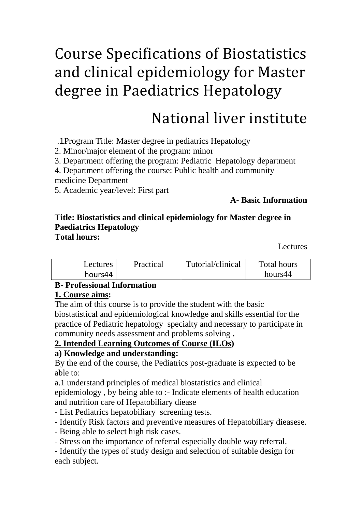# Course Specifications of Biostatistics and clinical epidemiology for Master degree in Paediatrics Hepatology

# National liver institute

.1Program Title: Master degree in pediatrics Hepatology

2. Minor/major element of the program: minor

3. Department offering the program: Pediatric Hepatology department

4. Department offering the course: Public health and community

medicine Department

5. Academic year/level: First part

## **A- Basic Information**

#### **Title: Biostatistics and clinical epidemiology for Master degree in Paediatrics Hepatology Total hours:**

Lectures

| <b>Lectures</b> | Practical | Tutorial/clinical | Total hours |
|-----------------|-----------|-------------------|-------------|
| hours44         |           |                   | hours44     |

## **B- Professional Information**

## **1. Course aims:**

The aim of this course is to provide the student with the basic biostatistical and epidemiological knowledge and skills essential for the practice of Pediatric hepatology specialty and necessary to participate in community needs assessment and problems solving **.**

# 2. Intended Learning Outcomes of Course (ILOs)

## **a) Knowledge and understanding:**

By the end of the course, the Pediatrics post-graduate is expected to be able to:

a.1 understand principles of medical biostatistics and clinical

epidemiology , by being able to :- Indicate elements of health education and nutrition care of Hepatobiliary diease

- List Pediatrics hepatobiliary screening tests.

- Identify Risk factors and preventive measures of Hepatobiliary dieasese.

- Being able to select high risk cases.

- Stress on the importance of referral especially double way referral.

- Identify the types of study design and selection of suitable design for each subject.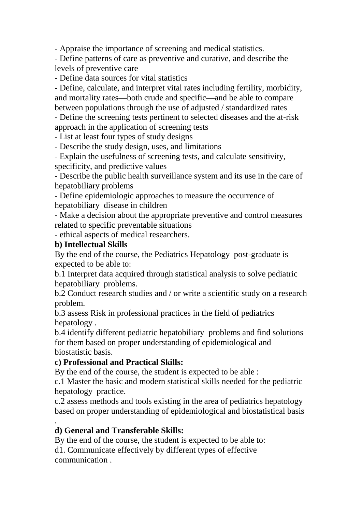- Appraise the importance of screening and medical statistics.

- Define patterns of care as preventive and curative, and describe the levels of preventive care

- Define data sources for vital statistics

- Define, calculate, and interpret vital rates including fertility, morbidity, and mortality rates—both crude and specific—and be able to compare between populations through the use of adjusted / standardized rates

- Define the screening tests pertinent to selected diseases and the at-risk approach in the application of screening tests

- List at least four types of study designs

- Describe the study design, uses, and limitations

- Explain the usefulness of screening tests, and calculate sensitivity, specificity, and predictive values

- Describe the public health surveillance system and its use in the care of hepatobiliary problems

- Define epidemiologic approaches to measure the occurrence of hepatobiliary disease in children

- Make a decision about the appropriate preventive and control measures related to specific preventable situations

- ethical aspects of medical researchers.

#### **b) Intellectual Skills**

By the end of the course, the Pediatrics Hepatology post-graduate is expected to be able to:

b.1 Interpret data acquired through statistical analysis to solve pediatric hepatobiliary problems.

b.2 Conduct research studies and / or write a scientific study on a research problem.

b.3 assess Risk in professional practices in the field of pediatrics hepatology .

b.4 identify different pediatric hepatobiliary problems and find solutions for them based on proper understanding of epidemiological and biostatistic basis.

#### **c) Professional and Practical Skills:**

By the end of the course, the student is expected to be able :

c.1 Master the basic and modern statistical skills needed for the pediatric hepatology practice.

c.2 assess methods and tools existing in the area of pediatrics hepatology based on proper understanding of epidemiological and biostatistical basis

#### . **d) General and Transferable Skills:**

By the end of the course, the student is expected to be able to: d1. Communicate effectively by different types of effective communication .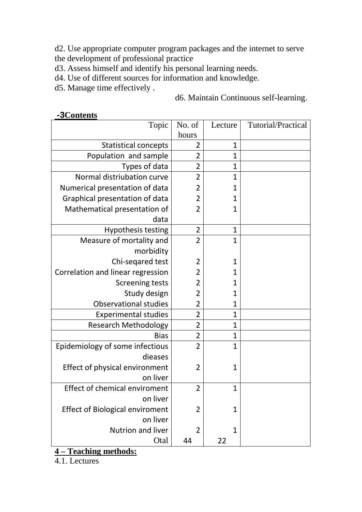d2. Use appropriate computer program packages and the internet to serve the development of professional practice

d3. Assess himself and identify his personal learning needs.

d4. Use of different sources for information and knowledge.

d5. Manage time effectively .

*<sup>U</sup>* **-3Contents**

#### d6. Maintain Continuous self-learning.

| $\mathbf{\sim}$<br>Topic               | No. of         | Lecture      | Tutorial/Practical |
|----------------------------------------|----------------|--------------|--------------------|
|                                        | hours          |              |                    |
| <b>Statistical concepts</b>            | 2              | $\mathbf{1}$ |                    |
| Population and sample                  | $\overline{2}$ | $\mathbf 1$  |                    |
| Types of data                          | 2              | 1            |                    |
| Normal distriubation curve             | $\overline{2}$ | 1            |                    |
| Numerical presentation of data         | $\overline{2}$ | 1            |                    |
| Graphical presentation of data         | $\overline{2}$ | $\mathbf{1}$ |                    |
| Mathematical presentation of           | $\overline{2}$ | 1            |                    |
| data                                   |                |              |                    |
| <b>Hypothesis testing</b>              | $\overline{2}$ | $\mathbf 1$  |                    |
| Measure of mortality and               | $\overline{2}$ | $\mathbf{1}$ |                    |
| morbidity                              |                |              |                    |
| Chi-seqared test                       | $\overline{2}$ | 1            |                    |
| Correlation and linear regression      | $\overline{2}$ | 1            |                    |
| <b>Screening tests</b>                 | 2              | 1            |                    |
| Study design                           | $\overline{2}$ | $\mathbf{1}$ |                    |
| <b>Observational studies</b>           | $\overline{2}$ | $\mathbf 1$  |                    |
| <b>Experimental studies</b>            | $\overline{2}$ | $\mathbf 1$  |                    |
| <b>Research Methodology</b>            | $\overline{2}$ | 1            |                    |
| <b>Bias</b>                            | $\overline{2}$ | $\mathbf{1}$ |                    |
| Epidemiology of some infectious        | $\overline{2}$ | $\mathbf 1$  |                    |
| dieases                                |                |              |                    |
| Effect of physical environment         | $\overline{2}$ | $\mathbf 1$  |                    |
| on liver                               |                |              |                    |
| Effect of chemical enviroment          | $\overline{2}$ | 1            |                    |
| on liver                               |                |              |                    |
| <b>Effect of Biological enviroment</b> | $\overline{2}$ | $\mathbf{1}$ |                    |
| on liver                               |                |              |                    |
| Nutrion and liver                      | $\overline{2}$ | $\mathbf{1}$ |                    |
| Otal                                   | 44             | 22           |                    |

# *<sup>U</sup>***4 – Teaching methods:**

4.1. Lectures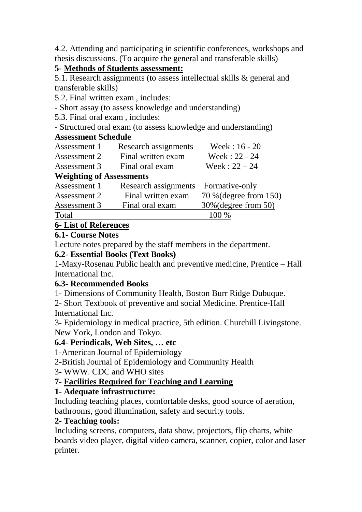4.2. Attending and participating in scientific conferences, workshops and thesis discussions. (To acquire the general and transferable skills)

## **5- Methods of Students assessment:**

5.1. Research assignments (to assess intellectual skills & general and transferable skills)

5.2. Final written exam , includes:

- Short assay (to assess knowledge and understanding)

5.3. Final oral exam , includes:

- Structured oral exam (to assess knowledge and understanding)

## **Assessment Schedule**

| Assessment 1                    | Research assignments | Week: $16 - 20$        |
|---------------------------------|----------------------|------------------------|
| Assessment 2                    | Final written exam   | Week: 22 - 24          |
| Assessment 3                    | Final oral exam      | Week: $22 - 24$        |
| <b>Weighting of Assessments</b> |                      |                        |
| Assessment 1                    | Research assignments | Formative-only         |
| Assessment 2                    | Final written exam   | 70 % (degree from 150) |
| Assessment 3                    | Final oral exam      | 30% (degree from 50)   |
| Total                           |                      | 100 %                  |
| <i>-</i> - - -                  |                      |                        |

## **6- List of References**

## **6.1- Course Notes**

Lecture notes prepared by the staff members in the department.

#### **6.2- Essential Books (Text Books)**

1-Maxy-Rosenau Public health and preventive medicine, Prentice – Hall International Inc.

## **6.3- Recommended Books**

1- Dimensions of Community Health, Boston Burr Ridge Dubuque.

2- Short Textbook of preventive and social Medicine. Prentice-Hall International Inc.

3- Epidemiology in medical practice, 5th edition. Churchill Livingstone. New York, London and Tokyo.

## **6.4- Periodicals, Web Sites, … etc**

1-American Journal of Epidemiology

2-British Journal of Epidemiology and Community Health

3- WWW. CDC and WHO sites

# **7- Facilities Required for Teaching and Learning**

# **1- Adequate infrastructure:**

Including teaching places, comfortable desks, good source of aeration, bathrooms, good illumination, safety and security tools.

## **2- Teaching tools:**

Including screens, computers, data show, projectors, flip charts, white boards video player, digital video camera, scanner, copier, color and laser printer.